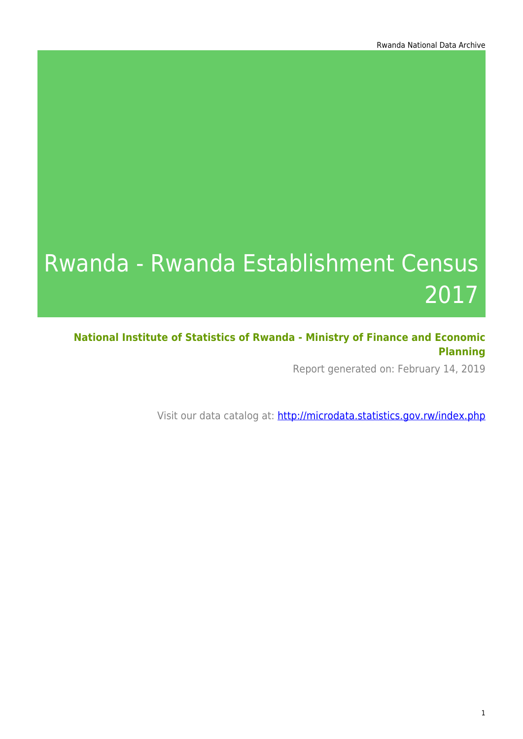# Rwanda - Rwanda Establishment Census 2017

**National Institute of Statistics of Rwanda - Ministry of Finance and Economic Planning**

Report generated on: February 14, 2019

Visit our data catalog at: http://microdata.statistics.gov.rw/index.php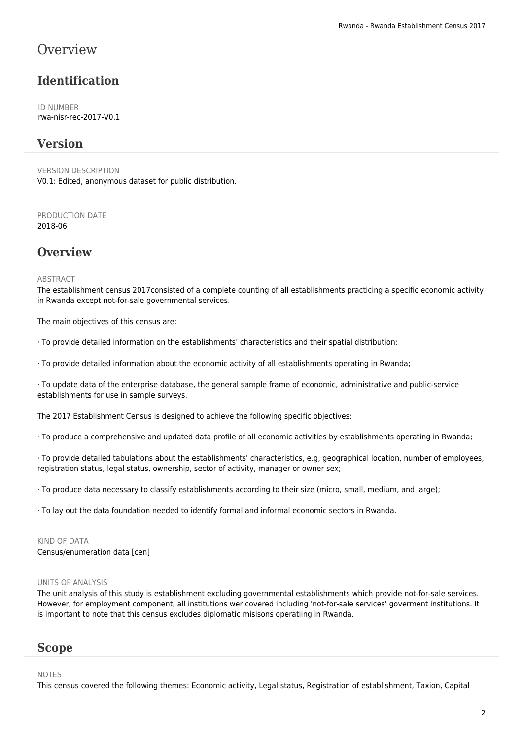### **Overview**

### **Identification**

ID NUMBER rwa-nisr-rec-2017-V0.1

#### **Version**

VERSION DESCRIPTION V0.1: Edited, anonymous dataset for public distribution.

PRODUCTION DATE 2018-06

#### **Overview**

#### **ABSTRACT**

The establishment census 2017consisted of a complete counting of all establishments practicing a specific economic activity in Rwanda except not-for-sale governmental services.

The main objectives of this census are:

· To provide detailed information on the establishments' characteristics and their spatial distribution;

· To provide detailed information about the economic activity of all establishments operating in Rwanda;

· To update data of the enterprise database, the general sample frame of economic, administrative and public-service establishments for use in sample surveys.

The 2017 Establishment Census is designed to achieve the following specific objectives:

· To produce a comprehensive and updated data profile of all economic activities by establishments operating in Rwanda;

· To provide detailed tabulations about the establishments' characteristics, e.g, geographical location, number of employees, registration status, legal status, ownership, sector of activity, manager or owner sex;

· To produce data necessary to classify establishments according to their size (micro, small, medium, and large);

· To lay out the data foundation needed to identify formal and informal economic sectors in Rwanda.

KIND OF DATA Census/enumeration data [cen]

#### UNITS OF ANALYSIS

The unit analysis of this study is establishment excluding governmental establishments which provide not-for-sale services. However, for employment component, all institutions wer covered including 'not-for-sale services' goverment institutions. It is important to note that this census excludes diplomatic misisons operatiing in Rwanda.

#### **Scope**

#### NOTES

This census covered the following themes: Economic activity, Legal status, Registration of establishment, Taxion, Capital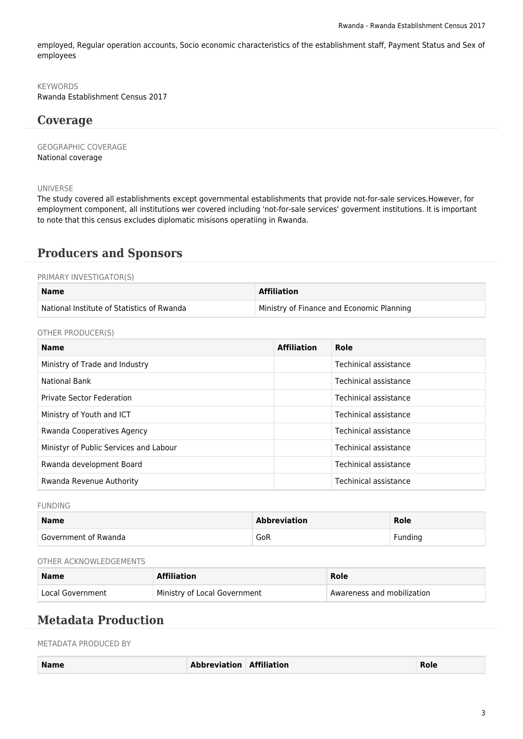employed, Regular operation accounts, Socio economic characteristics of the establishment staff, Payment Status and Sex of employees

#### **KEYWORDS**

Rwanda Establishment Census 2017

#### **Coverage**

GEOGRAPHIC COVERAGE National coverage

#### UNIVERSE

The study covered all establishments except governmental establishments that provide not-for-sale services.However, for employment component, all institutions wer covered including 'not-for-sale services' goverment institutions. It is important to note that this census excludes diplomatic misisons operatiing in Rwanda.

#### **Producers and Sponsors**

#### PRIMARY INVESTIGATOR(S)

| <b>Name</b>                                | <b>Affiliation</b>                        |
|--------------------------------------------|-------------------------------------------|
| National Institute of Statistics of Rwanda | Ministry of Finance and Economic Planning |

OTHER PRODUCER(S)

| <b>Name</b>                            | <b>Affiliation</b> | Role                  |
|----------------------------------------|--------------------|-----------------------|
| Ministry of Trade and Industry         |                    | Techinical assistance |
| <b>National Bank</b>                   |                    | Techinical assistance |
| <b>Private Sector Federation</b>       |                    | Techinical assistance |
| Ministry of Youth and ICT              |                    | Techinical assistance |
| Rwanda Cooperatives Agency             |                    | Techinical assistance |
| Ministyr of Public Services and Labour |                    | Techinical assistance |
| Rwanda development Board               |                    | Techinical assistance |
| Rwanda Revenue Authority               |                    | Techinical assistance |

FUNDING

| <b>Name</b>          | <b>Abbreviation</b> | <b>Role</b> |
|----------------------|---------------------|-------------|
| Government of Rwanda | GoR                 | Funding     |

#### OTHER ACKNOWLEDGEMENTS

| <b>Name</b>      | <b>Affiliation</b>           | Role                       |
|------------------|------------------------------|----------------------------|
| Local Government | Ministry of Local Government | Awareness and mobilization |

#### **Metadata Production**

METADATA PRODUCED BY

| <b>Name</b> | <b>Abbreviation Affiliation</b> | Role |
|-------------|---------------------------------|------|
|             |                                 |      |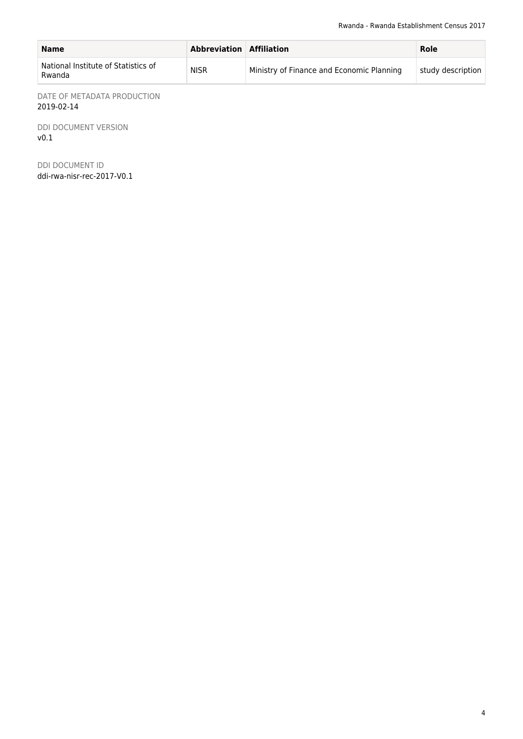| <b>Name</b>                                   | <b>Abbreviation Affiliation</b> |                                           | Role              |
|-----------------------------------------------|---------------------------------|-------------------------------------------|-------------------|
| National Institute of Statistics of<br>Rwanda | <b>NISR</b>                     | Ministry of Finance and Economic Planning | study description |

DATE OF METADATA PRODUCTION 2019-02-14

DDI DOCUMENT VERSION v0.1

DDI DOCUMENT ID ddi-rwa-nisr-rec-2017-V0.1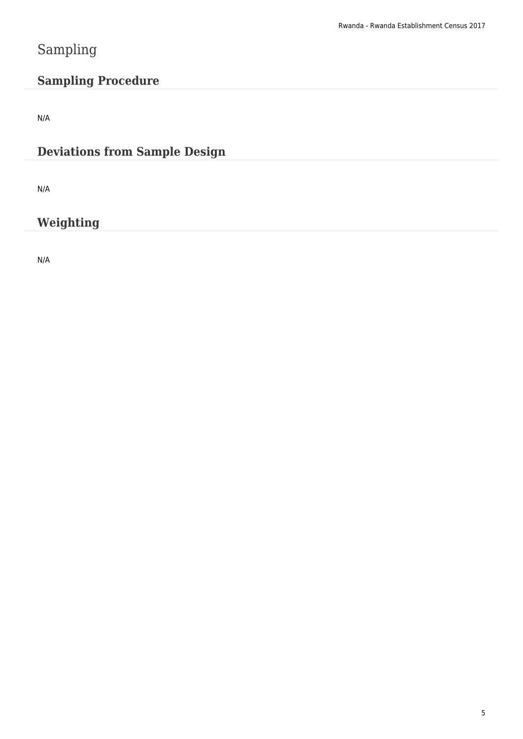# Sampling

### **Sampling Procedure**

N/A

### **Deviations from Sample Design**

N/A

### **Weighting**

N/A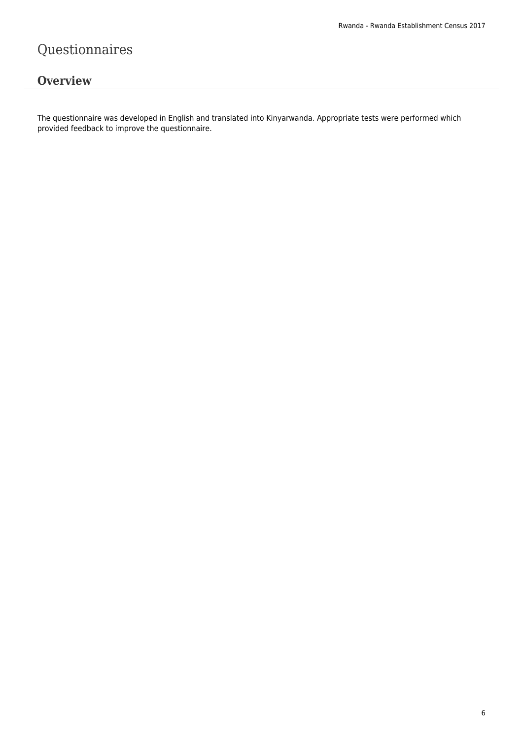# Questionnaires

### **Overview**

The questionnaire was developed in English and translated into Kinyarwanda. Appropriate tests were performed which provided feedback to improve the questionnaire.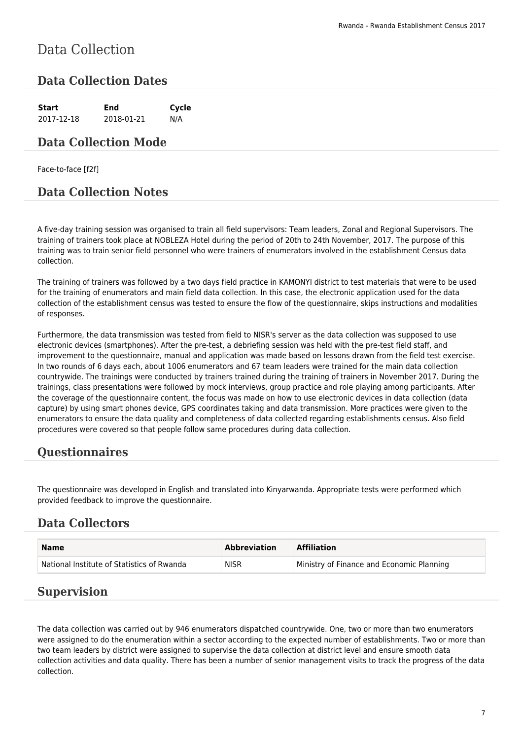# Data Collection

### **Data Collection Dates**

**Start End Cycle** 2017-12-18 2018-01-21 N/A

#### **Data Collection Mode**

Face-to-face [f2f]

### **Data Collection Notes**

A five-day training session was organised to train all field supervisors: Team leaders, Zonal and Regional Supervisors. The training of trainers took place at NOBLEZA Hotel during the period of 20th to 24th November, 2017. The purpose of this training was to train senior field personnel who were trainers of enumerators involved in the establishment Census data collection.

The training of trainers was followed by a two days field practice in KAMONYI district to test materials that were to be used for the training of enumerators and main field data collection. In this case, the electronic application used for the data collection of the establishment census was tested to ensure the flow of the questionnaire, skips instructions and modalities of responses.

Furthermore, the data transmission was tested from field to NISR's server as the data collection was supposed to use electronic devices (smartphones). After the pre-test, a debriefing session was held with the pre-test field staff, and improvement to the questionnaire, manual and application was made based on lessons drawn from the field test exercise. In two rounds of 6 days each, about 1006 enumerators and 67 team leaders were trained for the main data collection countrywide. The trainings were conducted by trainers trained during the training of trainers in November 2017. During the trainings, class presentations were followed by mock interviews, group practice and role playing among participants. After the coverage of the questionnaire content, the focus was made on how to use electronic devices in data collection (data capture) by using smart phones device, GPS coordinates taking and data transmission. More practices were given to the enumerators to ensure the data quality and completeness of data collected regarding establishments census. Also field procedures were covered so that people follow same procedures during data collection.

### **Questionnaires**

The questionnaire was developed in English and translated into Kinyarwanda. Appropriate tests were performed which provided feedback to improve the questionnaire.

### **Data Collectors**

| <b>Name</b>                                | Abbreviation | <b>Affiliation</b>                        |
|--------------------------------------------|--------------|-------------------------------------------|
| National Institute of Statistics of Rwanda | <b>NISR</b>  | Ministry of Finance and Economic Planning |

#### **Supervision**

The data collection was carried out by 946 enumerators dispatched countrywide. One, two or more than two enumerators were assigned to do the enumeration within a sector according to the expected number of establishments. Two or more than two team leaders by district were assigned to supervise the data collection at district level and ensure smooth data collection activities and data quality. There has been a number of senior management visits to track the progress of the data collection.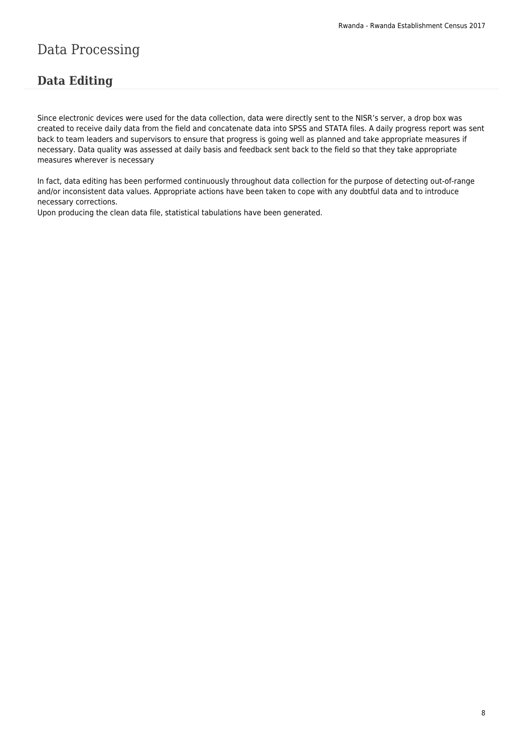# Data Processing

### **Data Editing**

Since electronic devices were used for the data collection, data were directly sent to the NISR's server, a drop box was created to receive daily data from the field and concatenate data into SPSS and STATA files. A daily progress report was sent back to team leaders and supervisors to ensure that progress is going well as planned and take appropriate measures if necessary. Data quality was assessed at daily basis and feedback sent back to the field so that they take appropriate measures wherever is necessary

In fact, data editing has been performed continuously throughout data collection for the purpose of detecting out-of-range and/or inconsistent data values. Appropriate actions have been taken to cope with any doubtful data and to introduce necessary corrections.

Upon producing the clean data file, statistical tabulations have been generated.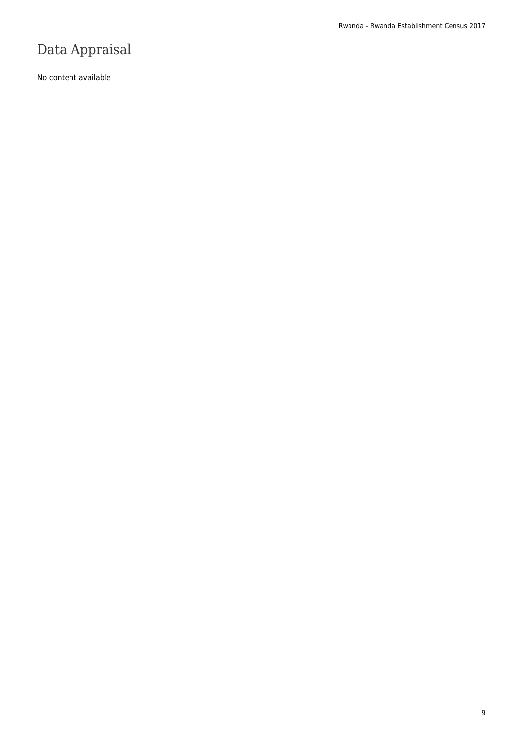# Data Appraisal

No content available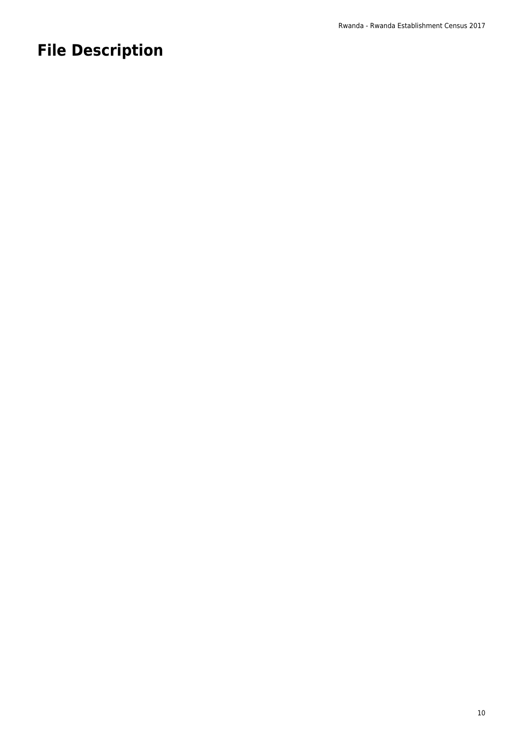# **File Description**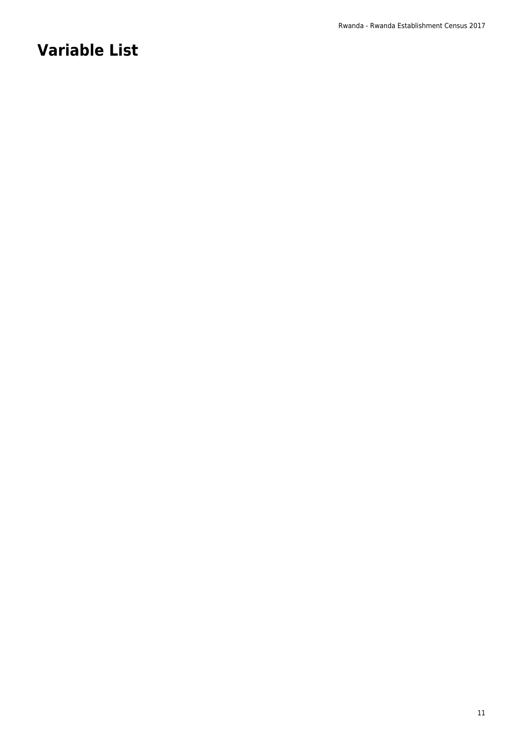# **Variable List**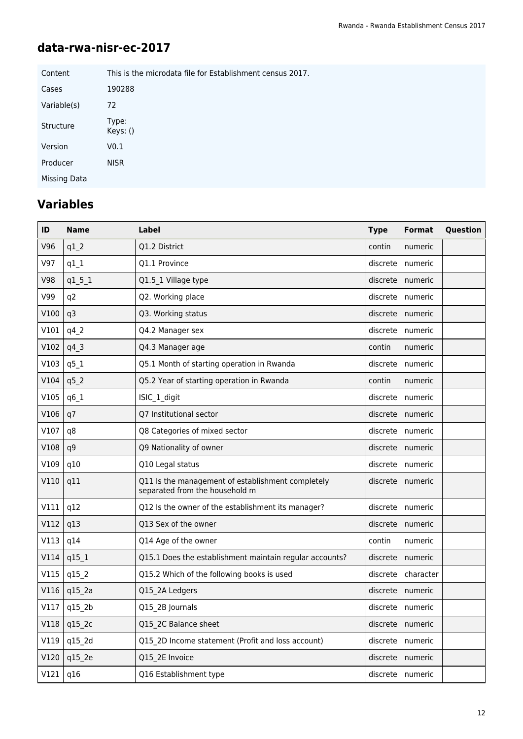### **data-rwa-nisr-ec-2017**

| Content      | This is the microdata file for Establishment census 2017. |
|--------------|-----------------------------------------------------------|
| Cases        | 190288                                                    |
| Variable(s)  | 72                                                        |
| Structure    | Type:<br>Keys: ()                                         |
| Version      | V0.1                                                      |
| Producer     | <b>NISR</b>                                               |
| Missing Data |                                                           |

# **Variables**

| ID   | <b>Name</b>        | Label                                                                               | <b>Type</b> | <b>Format</b> | Question |
|------|--------------------|-------------------------------------------------------------------------------------|-------------|---------------|----------|
| V96  | $q1_2$             | Q1.2 District                                                                       | contin      | numeric       |          |
| V97  | $q1_1$             | Q1.1 Province                                                                       | discrete    | numeric       |          |
| V98  | $q1_{51}$          | Q1.5 1 Village type                                                                 | discrete    | numeric       |          |
| V99  | q <sub>2</sub>     | Q2. Working place                                                                   | discrete    | numeric       |          |
| V100 | q3                 | Q3. Working status                                                                  | discrete    | numeric       |          |
| V101 | $q4$ <sub>-2</sub> | Q4.2 Manager sex                                                                    | discrete    | numeric       |          |
| V102 | $q4_3$             | Q4.3 Manager age                                                                    | contin      | numeric       |          |
| V103 | $q5_1$             | Q5.1 Month of starting operation in Rwanda                                          | discrete    | numeric       |          |
| V104 | $q5$ <sub>2</sub>  | Q5.2 Year of starting operation in Rwanda                                           | contin      | numeric       |          |
| V105 | q6_1               | ISIC_1_digit                                                                        | discrete    | numeric       |          |
| V106 | q7                 | Q7 Institutional sector                                                             | discrete    | numeric       |          |
| V107 | q8                 | Q8 Categories of mixed sector                                                       | discrete    | numeric       |          |
| V108 | q9                 | Q9 Nationality of owner                                                             | discrete    | numeric       |          |
| V109 | q10                | Q10 Legal status                                                                    | discrete    | numeric       |          |
| V110 | q11                | Q11 Is the management of establishment completely<br>separated from the household m | discrete    | numeric       |          |
| V111 | q12                | Q12 Is the owner of the establishment its manager?                                  | discrete    | numeric       |          |
| V112 | q13                | Q13 Sex of the owner                                                                | discrete    | numeric       |          |
| V113 | q14                | Q14 Age of the owner                                                                | contin      | numeric       |          |
| V114 | $q15_1$            | Q15.1 Does the establishment maintain regular accounts?                             | discrete    | numeric       |          |
| V115 | q15_2              | Q15.2 Which of the following books is used                                          | discrete    | character     |          |
| V116 | q15_2a             | Q15 2A Ledgers                                                                      | discrete    | numeric       |          |
| V117 | q15_2b             | Q15 2B Journals                                                                     | discrete    | numeric       |          |
| V118 | q15_2c             | Q15 2C Balance sheet                                                                | discrete    | numeric       |          |
| V119 | q15_2d             | Q15 2D Income statement (Profit and loss account)                                   | discrete    | numeric       |          |
| V120 | q15 2e             | Q15 2E Invoice                                                                      | discrete    | numeric       |          |
| V121 | q16                | Q16 Establishment type                                                              | discrete    | numeric       |          |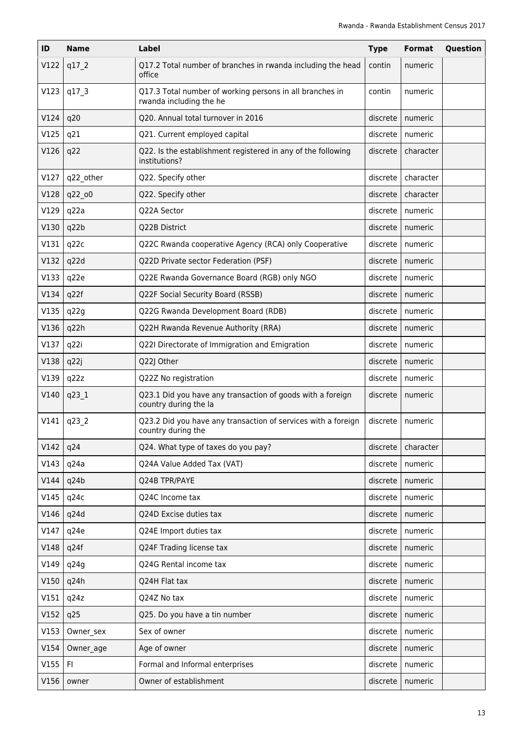| ID   | <b>Name</b> | Label                                                                               | <b>Type</b> | <b>Format</b> | Question |
|------|-------------|-------------------------------------------------------------------------------------|-------------|---------------|----------|
| V122 | q17 2       | Q17.2 Total number of branches in rwanda including the head<br>office               | contin      | numeric       |          |
| V123 | q17 3       | Q17.3 Total number of working persons in all branches in<br>rwanda including the he | contin      | numeric       |          |
| V124 | q20         | Q20. Annual total turnover in 2016                                                  | discrete    | numeric       |          |
| V125 | q21         | Q21. Current employed capital                                                       | discrete    | numeric       |          |
| V126 | q22         | Q22. Is the establishment registered in any of the following<br>institutions?       | discrete    | character     |          |
| V127 | q22_other   | Q22. Specify other                                                                  | discrete    | character     |          |
| V128 | q22 o0      | Q22. Specify other                                                                  | discrete    | character     |          |
| V129 | q22a        | Q22A Sector                                                                         | discrete    | numeric       |          |
| V130 | q22b        | Q22B District                                                                       | discrete    | numeric       |          |
| V131 | q22c        | Q22C Rwanda cooperative Agency (RCA) only Cooperative                               | discrete    | numeric       |          |
| V132 | q22d        | Q22D Private sector Federation (PSF)                                                | discrete    | numeric       |          |
| V133 | q22e        | Q22E Rwanda Governance Board (RGB) only NGO                                         | discrete    | numeric       |          |
| V134 | q22f        | Q22F Social Security Board (RSSB)                                                   | discrete    | numeric       |          |
| V135 | q22g        | Q22G Rwanda Development Board (RDB)                                                 | discrete    | numeric       |          |
| V136 | q22h        | Q22H Rwanda Revenue Authority (RRA)                                                 | discrete    | numeric       |          |
| V137 | q22i        | Q22I Directorate of Immigration and Emigration                                      | discrete    | numeric       |          |
| V138 | q22j        | Q22J Other                                                                          | discrete    | numeric       |          |
| V139 | q22z        | Q22Z No registration                                                                | discrete    | numeric       |          |
| V140 | q23_1       | Q23.1 Did you have any transaction of goods with a foreign<br>country during the la | discrete    | numeric       |          |
| V141 | q23_2       | Q23.2 Did you have any transaction of services with a foreign<br>country during the | discrete    | numeric       |          |
| V142 | q24         | Q24. What type of taxes do you pay?                                                 | discrete    | character     |          |
| V143 | q24a        | Q24A Value Added Tax (VAT)                                                          | discrete    | numeric       |          |
| V144 | q24b        | Q24B TPR/PAYE                                                                       | discrete    | numeric       |          |
| V145 | q24c        | Q24C Income tax                                                                     | discrete    | numeric       |          |
| V146 | q24d        | Q24D Excise duties tax                                                              | discrete    | numeric       |          |
| V147 | q24e        | Q24E Import duties tax                                                              | discrete    | numeric       |          |
| V148 | q24f        | Q24F Trading license tax                                                            | discrete    | numeric       |          |
| V149 | q24g        | Q24G Rental income tax                                                              | discrete    | numeric       |          |
| V150 | q24h        | Q24H Flat tax                                                                       | discrete    | numeric       |          |
| V151 | q24z        | Q24Z No tax                                                                         | discrete    | numeric       |          |
| V152 | q25         | Q25. Do you have a tin number                                                       | discrete    | numeric       |          |
| V153 | Owner_sex   | Sex of owner                                                                        | discrete    | numeric       |          |
| V154 | Owner age   | Age of owner                                                                        | discrete    | numeric       |          |
| V155 | F1          | Formal and Informal enterprises                                                     | discrete    | numeric       |          |
| V156 | owner       | Owner of establishment                                                              | discrete    | numeric       |          |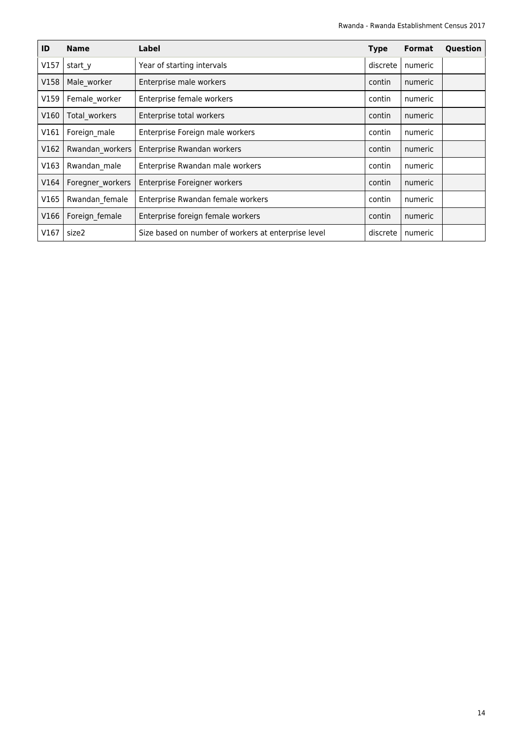| ID   | <b>Name</b>      | Label                                               | <b>Type</b> | <b>Format</b> | Question |
|------|------------------|-----------------------------------------------------|-------------|---------------|----------|
| V157 | start y          | Year of starting intervals                          | discrete    | numeric       |          |
| V158 | Male worker      | Enterprise male workers                             | contin      | numeric       |          |
| V159 | Female worker    | Enterprise female workers                           | contin      | numeric       |          |
| V160 | Total workers    | Enterprise total workers                            | contin      | numeric       |          |
| V161 | Foreign male     | Enterprise Foreign male workers                     | contin      | numeric       |          |
| V162 | Rwandan workers  | Enterprise Rwandan workers                          | contin      | numeric       |          |
| V163 | Rwandan male     | Enterprise Rwandan male workers                     | contin      | numeric       |          |
| V164 | Foregner workers | Enterprise Foreigner workers                        | contin      | numeric       |          |
| V165 | Rwandan_female   | Enterprise Rwandan female workers                   | contin      | numeric       |          |
| V166 | Foreign female   | Enterprise foreign female workers                   | contin      | numeric       |          |
| V167 | size2            | Size based on number of workers at enterprise level | discrete    | numeric       |          |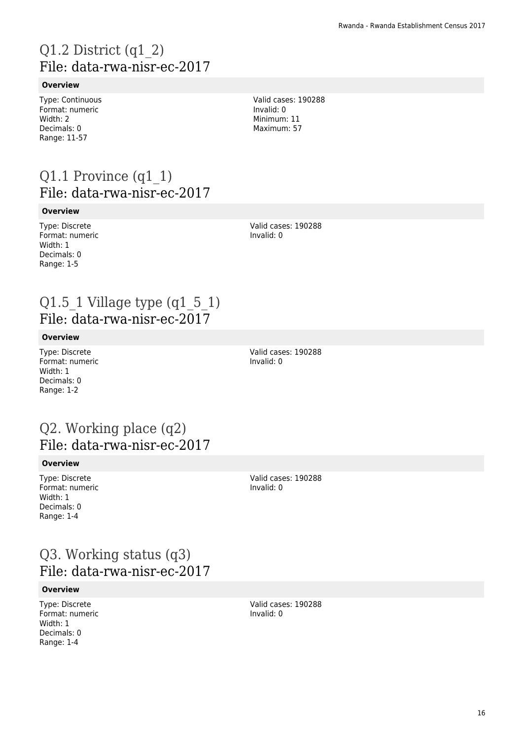# Q1.2 District (q1\_2) File: data-rwa-nisr-ec-2017

#### **Overview**

Type: Continuous Format: numeric Width: 2 Decimals: 0 Range: 11-57

Valid cases: 190288 Invalid: 0 Minimum: 11 Maximum: 57

### Q1.1 Province (q1\_1) File: data-rwa-nisr-ec-2017

#### **Overview**

Type: Discrete Format: numeric Width: 1 Decimals: 0 Range: 1-5

Valid cases: 190288 Invalid: 0

### Q1.5  $\sqrt{1}$  Village type (q1  $\sqrt{5}$  1) File: data-rwa-nisr-ec-2017

#### **Overview**

Type: Discrete Format: numeric Width: 1 Decimals: 0 Range: 1-2

Valid cases: 190288 Invalid: 0

### Q2. Working place (q2) File: data-rwa-nisr-ec-2017

#### **Overview**

Type: Discrete Format: numeric Width: 1 Decimals: 0 Range: 1-4

Valid cases: 190288 Invalid: 0

### Q3. Working status (q3) File: data-rwa-nisr-ec-2017

#### **Overview**

Type: Discrete Format: numeric Width: 1 Decimals: 0 Range: 1-4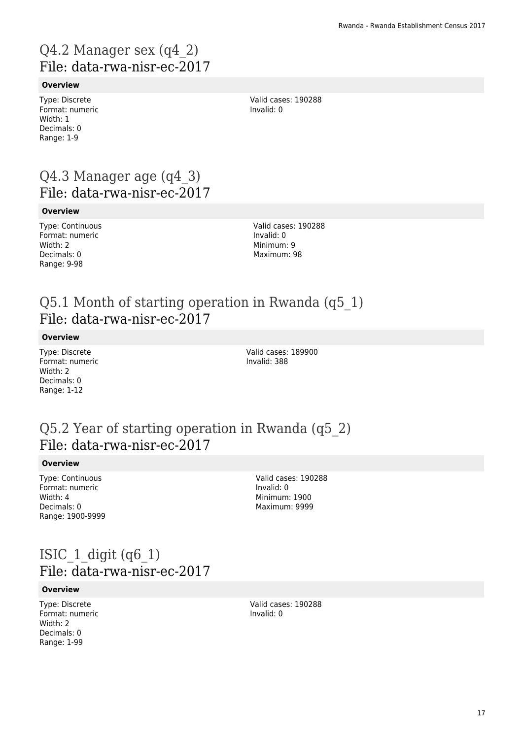# Q4.2 Manager sex (q4\_2) File: data-rwa-nisr-ec-2017

#### **Overview**

Type: Discrete Format: numeric Width: 1 Decimals: 0 Range: 1-9

Valid cases: 190288 Invalid: 0

### Q4.3 Manager age (q4\_3) File: data-rwa-nisr-ec-2017

#### **Overview**

Type: Continuous Format: numeric Width: 2 Decimals: 0 Range: 9-98

Valid cases: 190288 Invalid: 0 Minimum: 9 Maximum: 98

### Q5.1 Month of starting operation in Rwanda (q5\_1) File: data-rwa-nisr-ec-2017

#### **Overview**

Type: Discrete Format: numeric Width: 2 Decimals: 0 Range: 1-12

Valid cases: 189900 Invalid: 388

### Q5.2 Year of starting operation in Rwanda (q5\_2) File: data-rwa-nisr-ec-2017

#### **Overview**

Type: Continuous Format: numeric Width: 4 Decimals: 0 Range: 1900-9999

Valid cases: 190288 Invalid: 0 Minimum: 1900 Maximum: 9999

### ISIC  $1$  digit (q6 $1$ ) File: data-rwa-nisr-ec-2017

#### **Overview**

Type: Discrete Format: numeric Width: 2 Decimals: 0 Range: 1-99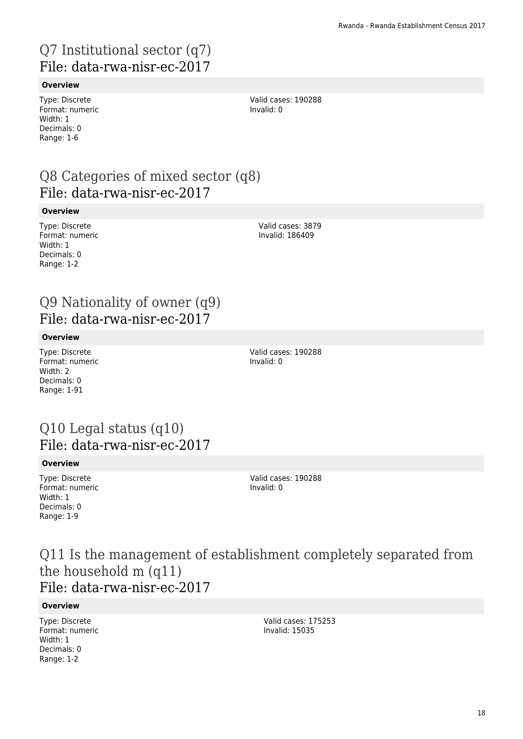# Q7 Institutional sector (q7) File: data-rwa-nisr-ec-2017

#### **Overview**

Type: Discrete Format: numeric Width: 1 Decimals: 0 Range: 1-6

Valid cases: 190288 Invalid: 0

### Q8 Categories of mixed sector (q8) File: data-rwa-nisr-ec-2017

#### **Overview**

Type: Discrete Format: numeric Width: 1 Decimals: 0 Range: 1-2

Valid cases: 3879 Invalid: 186409

### Q9 Nationality of owner (q9) File: data-rwa-nisr-ec-2017

#### **Overview**

Type: Discrete Format: numeric Width: 2 Decimals: 0 Range: 1-91

Valid cases: 190288 Invalid: 0

### Q10 Legal status (q10) File: data-rwa-nisr-ec-2017

#### **Overview**

Type: Discrete Format: numeric Width: 1 Decimals: 0 Range: 1-9

Valid cases: 190288 Invalid: 0

Q11 Is the management of establishment completely separated from the household m (q11) File: data-rwa-nisr-ec-2017

#### **Overview**

Type: Discrete Format: numeric Width: 1 Decimals: 0 Range: 1-2

Valid cases: 175253 Invalid: 15035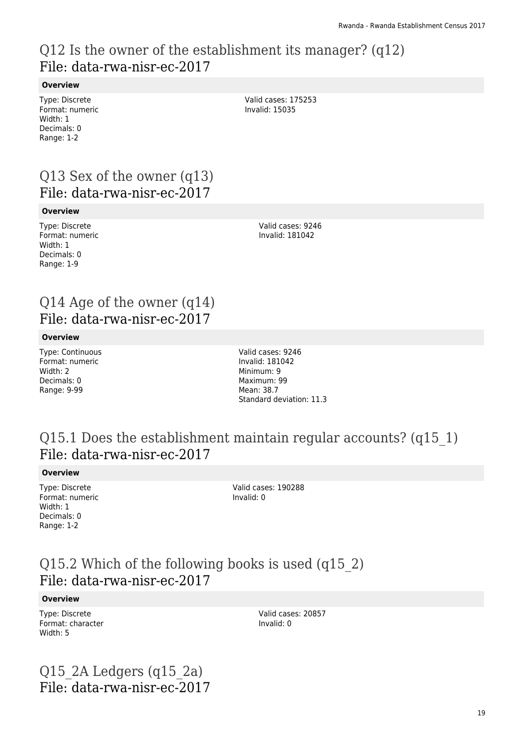### Q12 Is the owner of the establishment its manager? (q12) File: data-rwa-nisr-ec-2017

#### **Overview**

Type: Discrete Format: numeric Width: 1 Decimals: 0 Range: 1-2

Valid cases: 175253 Invalid: 15035

### Q13 Sex of the owner (q13) File: data-rwa-nisr-ec-2017

#### **Overview**

Type: Discrete Format: numeric Width: 1 Decimals: 0 Range: 1-9

Valid cases: 9246 Invalid: 181042

### Q14 Age of the owner (q14) File: data-rwa-nisr-ec-2017

#### **Overview**

Type: Continuous Format: numeric Width: 2 Decimals: 0 Range: 9-99

Valid cases: 9246 Invalid: 181042 Minimum: 9 Maximum: 99 Mean: 38.7 Standard deviation: 11.3

### Q15.1 Does the establishment maintain regular accounts? (q15\_1) File: data-rwa-nisr-ec-2017

#### **Overview**

Type: Discrete Format: numeric Width: 1 Decimals: 0 Range: 1-2

Valid cases: 190288 Invalid: 0

### Q15.2 Which of the following books is used (q15\_2) File: data-rwa-nisr-ec-2017

#### **Overview**

Type: Discrete Format: character Width: 5

Valid cases: 20857 Invalid: 0

Q15 $2A$  Ledgers (q15 $2a$ ) File: data-rwa-nisr-ec-2017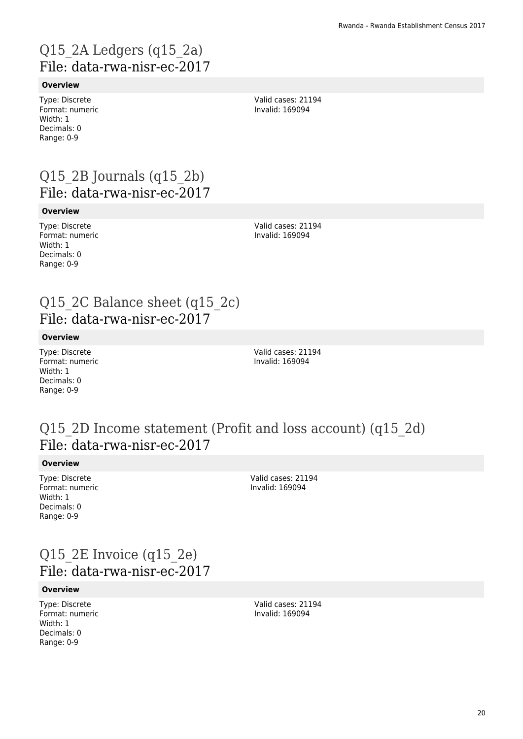# Q15\_2A Ledgers (q15\_2a) File: data-rwa-nisr-ec-2017

#### **Overview**

Type: Discrete Format: numeric Width: 1 Decimals: 0 Range: 0-9

Valid cases: 21194 Invalid: 169094

### Q15 $2B$  Journals (q15 $2b$ ) File: data-rwa-nisr-ec-2017

#### **Overview**

Type: Discrete Format: numeric Width: 1 Decimals: 0 Range: 0-9

Valid cases: 21194 Invalid: 169094

### Q15 2C Balance sheet (q15 2c) File: data-rwa-nisr-ec-2017

#### **Overview**

Type: Discrete Format: numeric Width: 1 Decimals: 0 Range: 0-9

Valid cases: 21194 Invalid: 169094

### Q15\_2D Income statement (Profit and loss account) (q15\_2d) File: data-rwa-nisr-ec-2017

#### **Overview**

Type: Discrete Format: numeric Width: 1 Decimals: 0 Range: 0-9

Valid cases: 21194 Invalid: 169094

### Q15 2E Invoice (q15 2e) File: data-rwa-nisr-ec-2017

#### **Overview**

Type: Discrete Format: numeric Width: 1 Decimals: 0 Range: 0-9

Valid cases: 21194 Invalid: 169094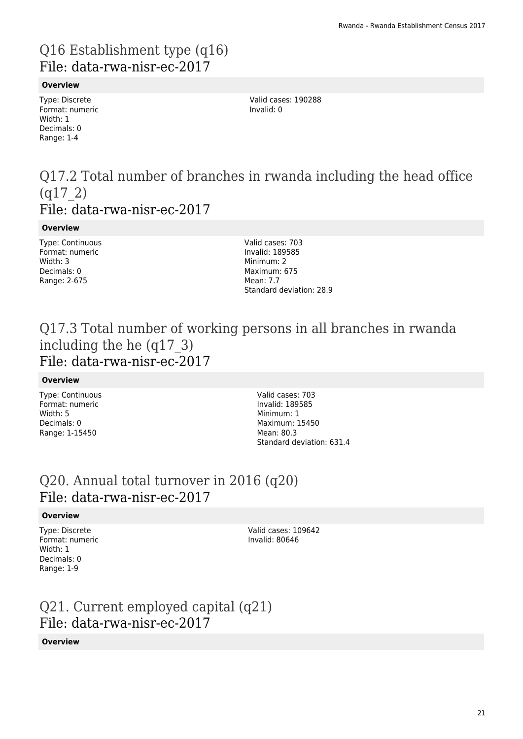# Q16 Establishment type (q16) File: data-rwa-nisr-ec-2017

#### **Overview**

Type: Discrete Format: numeric Width: 1 Decimals: 0 Range: 1-4

Valid cases: 190288 Invalid: 0

### Q17.2 Total number of branches in rwanda including the head office (q17\_2) File: data-rwa-nisr-ec-2017

#### **Overview**

Type: Continuous Format: numeric Width: 3 Decimals: 0 Range: 2-675

Valid cases: 703 Invalid: 189585 Minimum: 2 Maximum: 675 Mean: 7.7 Standard deviation: 28.9

### Q17.3 Total number of working persons in all branches in rwanda including the he (q17\_3) File: data-rwa-nisr-ec-2017

#### **Overview**

Type: Continuous Format: numeric Width: 5 Decimals: 0 Range: 1-15450

Valid cases: 703 Invalid: 189585 Minimum: 1 Maximum: 15450 Mean: 80.3 Standard deviation: 631.4

### Q20. Annual total turnover in 2016 (q20) File: data-rwa-nisr-ec-2017

#### **Overview**

Type: Discrete Format: numeric Width: 1 Decimals: 0 Range: 1-9

Valid cases: 109642 Invalid: 80646

# Q21. Current employed capital (q21) File: data-rwa-nisr-ec-2017

#### **Overview**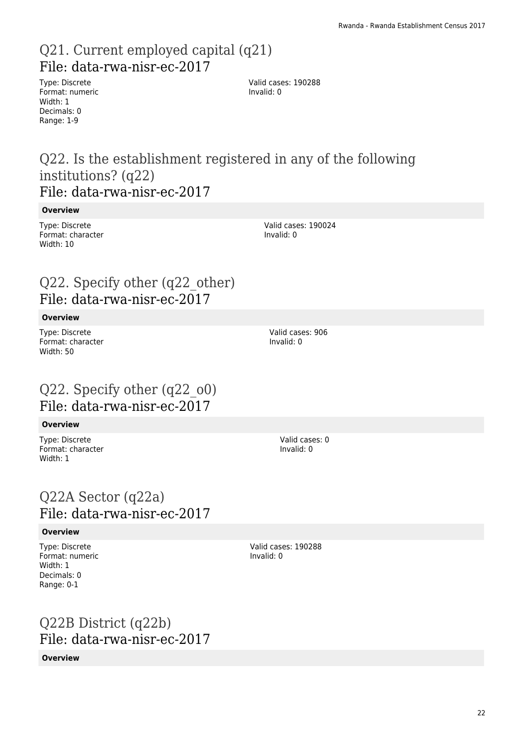### Q21. Current employed capital (q21) File: data-rwa-nisr-ec-2017

Type: Discrete Format: numeric Width: 1 Decimals: 0 Range: 1-9

Valid cases: 190288 Invalid: 0

### Q22. Is the establishment registered in any of the following institutions? (q22) File: data-rwa-nisr-ec-2017

#### **Overview**

Type: Discrete Format: character Width: 10

Q22. Specify other (q22\_other) File: data-rwa-nisr-ec-2017

#### **Overview**

Type: Discrete Format: character Width: 50

### Q22. Specify other (q22\_o0) File: data-rwa-nisr-ec-2017

#### **Overview**

Type: Discrete Format: character Width: 1

### Q22A Sector (q22a) File: data-rwa-nisr-ec-2017

#### **Overview**

Type: Discrete Format: numeric Width: 1 Decimals: 0 Range: 0-1

### Q22B District (q22b) File: data-rwa-nisr-ec-2017

#### **Overview**

Valid cases: 190024 Invalid: 0

Valid cases: 906 Invalid: 0

> Valid cases: 0 Invalid: 0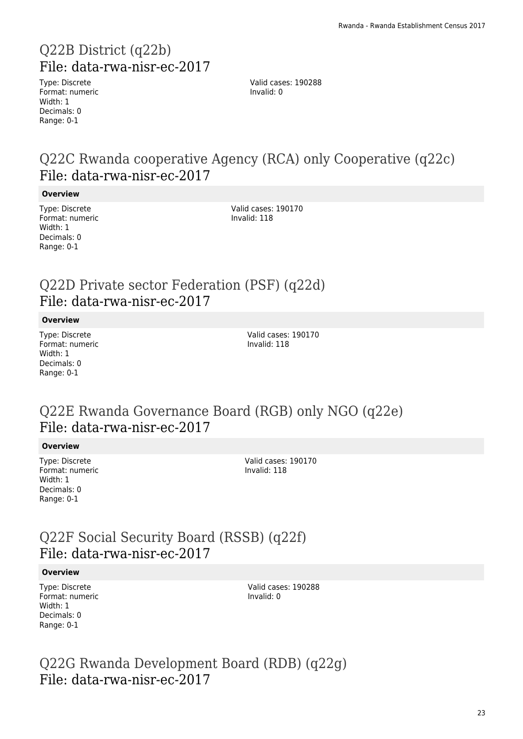# Q22B District (q22b) File: data-rwa-nisr-ec-2017

Type: Discrete Format: numeric Width: 1 Decimals: 0 Range: 0-1

Valid cases: 190288 Invalid: 0

### Q22C Rwanda cooperative Agency (RCA) only Cooperative (q22c) File: data-rwa-nisr-ec-2017

#### **Overview**

Type: Discrete Format: numeric Width: 1 Decimals: 0 Range: 0-1

Valid cases: 190170 Invalid: 118

### Q22D Private sector Federation (PSF) (q22d) File: data-rwa-nisr-ec-2017

#### **Overview**

Type: Discrete Format: numeric Width: 1 Decimals: 0 Range: 0-1

Valid cases: 190170 Invalid: 118

### Q22E Rwanda Governance Board (RGB) only NGO (q22e) File: data-rwa-nisr-ec-2017

#### **Overview**

Type: Discrete Format: numeric Width: 1 Decimals: 0 Range: 0-1

Valid cases: 190170 Invalid: 118

### Q22F Social Security Board (RSSB) (q22f) File: data-rwa-nisr-ec-2017

#### **Overview**

Type: Discrete Format: numeric Width: 1 Decimals: 0 Range: 0-1

Valid cases: 190288 Invalid: 0

Q22G Rwanda Development Board (RDB) (q22g) File: data-rwa-nisr-ec-2017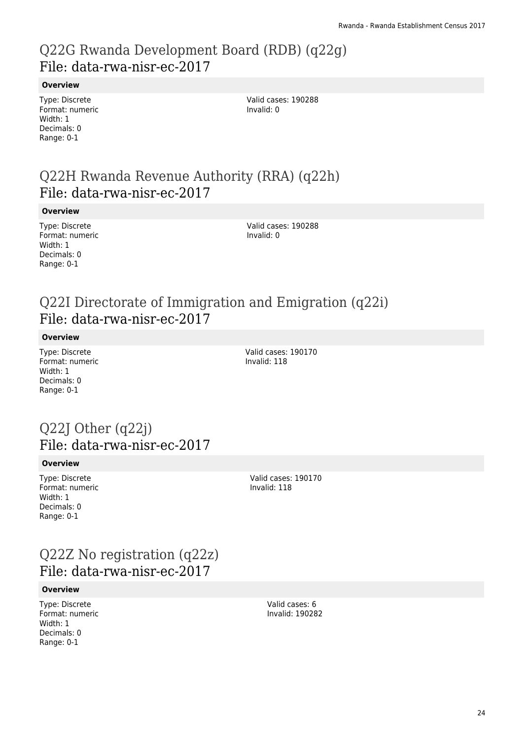### Q22G Rwanda Development Board (RDB) (q22g) File: data-rwa-nisr-ec-2017

#### **Overview**

Type: Discrete Format: numeric Width: 1 Decimals: 0 Range: 0-1

Valid cases: 190288 Invalid: 0

### Q22H Rwanda Revenue Authority (RRA) (q22h) File: data-rwa-nisr-ec-2017

#### **Overview**

Type: Discrete Format: numeric Width: 1 Decimals: 0 Range: 0-1

Valid cases: 190288 Invalid: 0

### Q22I Directorate of Immigration and Emigration (q22i) File: data-rwa-nisr-ec-2017

#### **Overview**

Type: Discrete Format: numeric Width: 1 Decimals: 0 Range: 0-1

Valid cases: 190170 Invalid: 118

### Q22J Other (q22j) File: data-rwa-nisr-ec-2017

#### **Overview**

Type: Discrete Format: numeric Width: 1 Decimals: 0 Range: 0-1

Valid cases: 190170 Invalid: 118

### Q22Z No registration (q22z) File: data-rwa-nisr-ec-2017

#### **Overview**

Type: Discrete Format: numeric Width: 1 Decimals: 0 Range: 0-1

Valid cases: 6 Invalid: 190282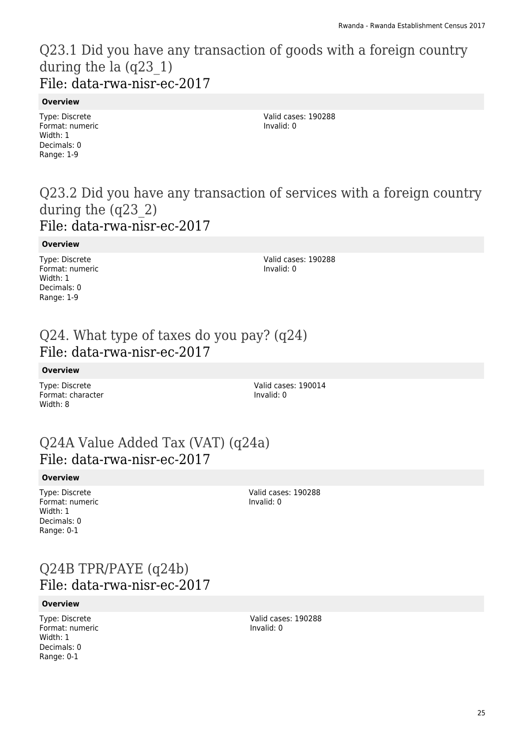### Q23.1 Did you have any transaction of goods with a foreign country during the la (q23\_1) File: data-rwa-nisr-ec-2017

#### **Overview**

Type: Discrete Format: numeric Width: 1 Decimals: 0 Range: 1-9

Valid cases: 190288 Invalid: 0

### Q23.2 Did you have any transaction of services with a foreign country during the (q23\_2) File: data-rwa-nisr-ec-2017

#### **Overview**

Type: Discrete Format: numeric Width: 1 Decimals: 0 Range: 1-9

Valid cases: 190288 Invalid: 0

### Q24. What type of taxes do you pay? (q24) File: data-rwa-nisr-ec-2017

#### **Overview**

Type: Discrete Format: character Width: 8

Valid cases: 190014 Invalid: 0

### Q24A Value Added Tax (VAT) (q24a) File: data-rwa-nisr-ec-2017

#### **Overview**

Type: Discrete Format: numeric Width: 1 Decimals: 0 Range: 0-1

Valid cases: 190288 Invalid: 0

### Q24B TPR/PAYE (q24b) File: data-rwa-nisr-ec-2017

#### **Overview**

Type: Discrete Format: numeric Width: 1 Decimals: 0 Range: 0-1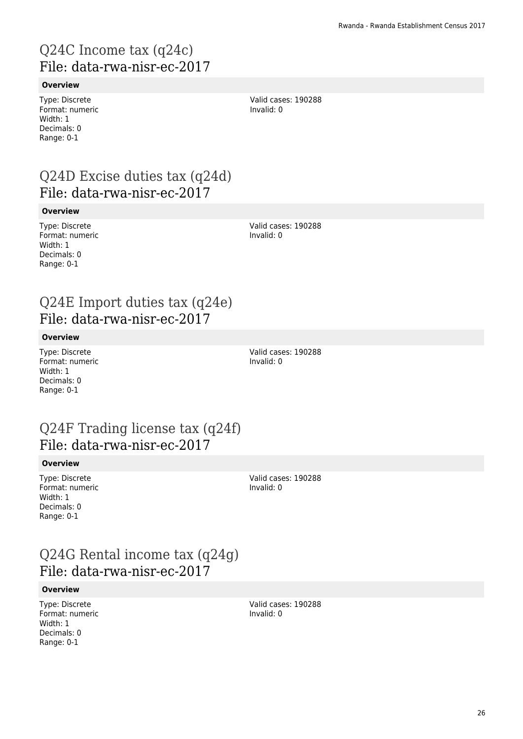# Q24C Income tax (q24c) File: data-rwa-nisr-ec-2017

#### **Overview**

Type: Discrete Format: numeric Width: 1 Decimals: 0 Range: 0-1

Valid cases: 190288 Invalid: 0

### Q24D Excise duties tax (q24d) File: data-rwa-nisr-ec-2017

#### **Overview**

Type: Discrete Format: numeric Width: 1 Decimals: 0 Range: 0-1

Valid cases: 190288 Invalid: 0

### Q24E Import duties tax (q24e) File: data-rwa-nisr-ec-2017

#### **Overview**

Type: Discrete Format: numeric Width: 1 Decimals: 0 Range: 0-1

Valid cases: 190288 Invalid: 0

### Q24F Trading license tax (q24f) File: data-rwa-nisr-ec-2017

#### **Overview**

Type: Discrete Format: numeric Width: 1 Decimals: 0 Range: 0-1

Valid cases: 190288 Invalid: 0

### Q24G Rental income tax (q24g) File: data-rwa-nisr-ec-2017

#### **Overview**

Type: Discrete Format: numeric Width: 1 Decimals: 0 Range: 0-1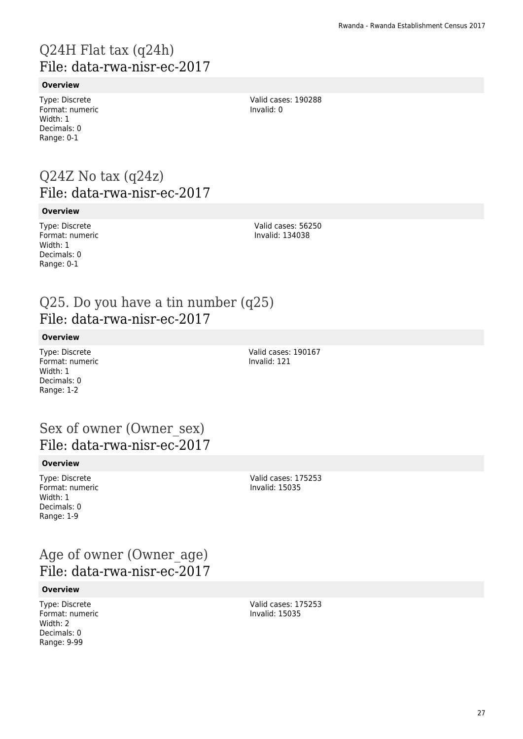# Q24H Flat tax (q24h) File: data-rwa-nisr-ec-2017

#### **Overview**

Type: Discrete Format: numeric Width: 1 Decimals: 0 Range: 0-1

Valid cases: 190288 Invalid: 0

### Q24Z No tax (q24z) File: data-rwa-nisr-ec-2017

#### **Overview**

Type: Discrete Format: numeric Width: 1 Decimals: 0 Range: 0-1

Valid cases: 56250 Invalid: 134038

### Q25. Do you have a tin number (q25) File: data-rwa-nisr-ec-2017

#### **Overview**

Type: Discrete Format: numeric Width: 1 Decimals: 0 Range: 1-2

Valid cases: 190167 Invalid: 121

### Sex of owner (Owner\_sex) File: data-rwa-nisr-ec-2017

#### **Overview**

Type: Discrete Format: numeric Width: 1 Decimals: 0 Range: 1-9

Valid cases: 175253 Invalid: 15035

### Age of owner (Owner\_age) File: data-rwa-nisr-ec-2017

#### **Overview**

Type: Discrete Format: numeric Width: 2 Decimals: 0 Range: 9-99

Valid cases: 175253 Invalid: 15035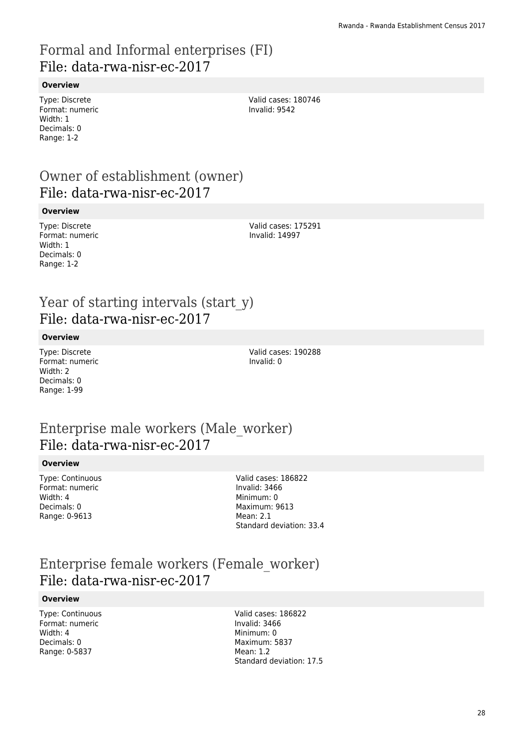### Formal and Informal enterprises (FI) File: data-rwa-nisr-ec-2017

#### **Overview**

Type: Discrete Format: numeric Width: 1 Decimals: 0 Range: 1-2

Valid cases: 180746 Invalid: 9542

### Owner of establishment (owner) File: data-rwa-nisr-ec-2017

#### **Overview**

Type: Discrete Format: numeric Width: 1 Decimals: 0 Range: 1-2

Valid cases: 175291 Invalid: 14997

### Year of starting intervals (start y) File: data-rwa-nisr-ec-2017

#### **Overview**

Type: Discrete Format: numeric Width: 2 Decimals: 0 Range: 1-99

Valid cases: 190288 Invalid: 0

### Enterprise male workers (Male\_worker) File: data-rwa-nisr-ec-2017

#### **Overview**

Type: Continuous Format: numeric Width: 4 Decimals: 0 Range: 0-9613

Valid cases: 186822 Invalid: 3466 Minimum: 0 Maximum: 9613 Mean: 2.1 Standard deviation: 33.4

### Enterprise female workers (Female\_worker) File: data-rwa-nisr-ec-2017

#### **Overview**

Type: Continuous Format: numeric Width: 4 Decimals: 0 Range: 0-5837

Valid cases: 186822 Invalid: 3466 Minimum: 0 Maximum: 5837  $M$ ean: 1.2 Standard deviation: 17.5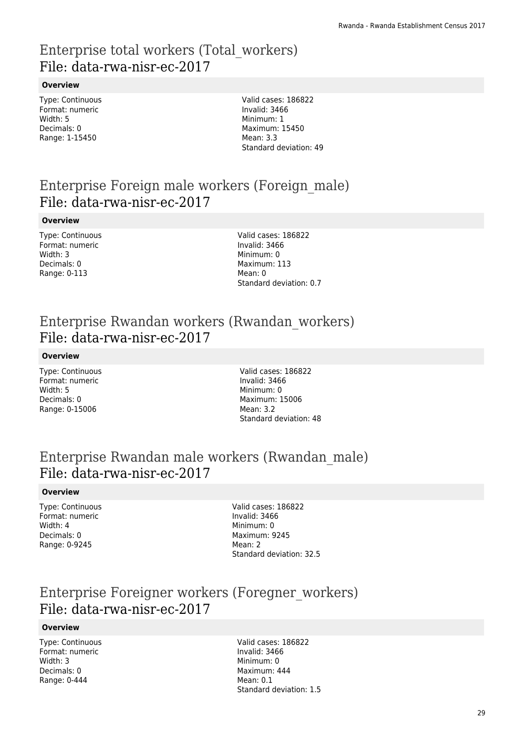### Enterprise total workers (Total\_workers) File: data-rwa-nisr-ec-2017

#### **Overview**

Type: Continuous Format: numeric Width: 5 Decimals: 0 Range: 1-15450

Valid cases: 186822 Invalid: 3466 Minimum: 1 Maximum: 15450 Mean: 3.3 Standard deviation: 49

### Enterprise Foreign male workers (Foreign\_male) File: data-rwa-nisr-ec-2017

#### **Overview**

Type: Continuous Format: numeric Width: 3 Decimals: 0 Range: 0-113

Valid cases: 186822 Invalid: 3466 Minimum: 0 Maximum: 113 Mean: 0 Standard deviation: 0.7

### Enterprise Rwandan workers (Rwandan\_workers) File: data-rwa-nisr-ec-2017

#### **Overview**

Type: Continuous Format: numeric Width: 5 Decimals: 0 Range: 0-15006

Valid cases: 186822 Invalid: 3466 Minimum: 0 Maximum: 15006 Mean: 3.2 Standard deviation: 48

### Enterprise Rwandan male workers (Rwandan\_male) File: data-rwa-nisr-ec-2017

#### **Overview**

Type: Continuous Format: numeric Width: 4 Decimals: 0 Range: 0-9245

Valid cases: 186822 Invalid: 3466 Minimum: 0 Maximum: 9245 Mean: 2 Standard deviation: 32.5

### Enterprise Foreigner workers (Foregner\_workers) File: data-rwa-nisr-ec-2017

#### **Overview**

Type: Continuous Format: numeric Width: 3 Decimals: 0 Range: 0-444

Valid cases: 186822 Invalid: 3466 Minimum: 0 Maximum: 444 Mean: 0.1 Standard deviation: 1.5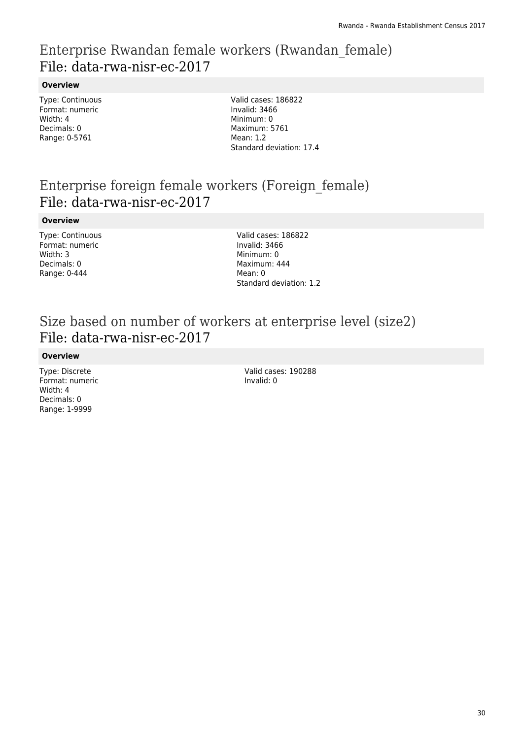### Enterprise Rwandan female workers (Rwandan\_female) File: data-rwa-nisr-ec-2017

#### **Overview**

Type: Continuous Format: numeric Width: 4 Decimals: 0 Range: 0-5761

Valid cases: 186822 Invalid: 3466 Minimum: 0 Maximum: 5761 Mean: 1.2 Standard deviation: 17.4

### Enterprise foreign female workers (Foreign\_female) File: data-rwa-nisr-ec-2017

#### **Overview**

Type: Continuous Format: numeric Width: 3 Decimals: 0 Range: 0-444

Valid cases: 186822 Invalid: 3466 Minimum: 0 Maximum: 444 Mean: 0 Standard deviation: 1.2

### Size based on number of workers at enterprise level (size2) File: data-rwa-nisr-ec-2017

#### **Overview**

Type: Discrete Format: numeric Width: 4 Decimals: 0 Range: 1-9999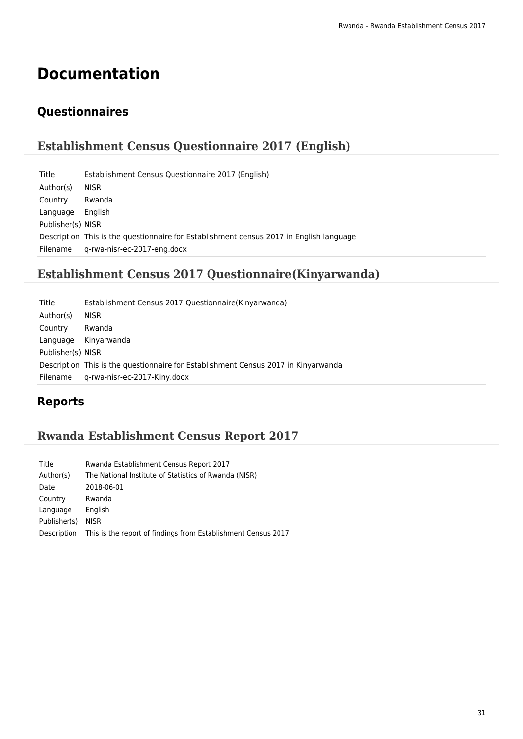# **Documentation**

### **Questionnaires**

### **Establishment Census Questionnaire 2017 (English)**

| Title             | Establishment Census Questionnaire 2017 (English)                                       |
|-------------------|-----------------------------------------------------------------------------------------|
| Author(s)         | <b>NISR</b>                                                                             |
| Country           | Rwanda                                                                                  |
| Language          | English                                                                                 |
| Publisher(s) NISR |                                                                                         |
|                   | Description This is the questionnaire for Establishment census 2017 in English language |
| Filename          | g-rwa-nisr-ec-2017-eng.docx                                                             |

### **Establishment Census 2017 Questionnaire(Kinyarwanda)**

| Title             | Establishment Census 2017 Questionnaire (Kinyarwanda)                              |
|-------------------|------------------------------------------------------------------------------------|
| Author(s)         | <b>NISR</b>                                                                        |
| Country           | Rwanda                                                                             |
|                   | Language Kinyarwanda                                                               |
| Publisher(s) NISR |                                                                                    |
|                   | Description This is the questionnaire for Establishment Census 2017 in Kinyarwanda |
| Filename          | q-rwa-nisr-ec-2017-Kiny.docx                                                       |

### **Reports**

### **Rwanda Establishment Census Report 2017**

| Title        | Rwanda Establishment Census Report 2017                       |
|--------------|---------------------------------------------------------------|
| Author(s)    | The National Institute of Statistics of Rwanda (NISR)         |
| Date         | 2018-06-01                                                    |
| Country      | Rwanda                                                        |
| Language     | English                                                       |
| Publisher(s) | <b>NISR</b>                                                   |
| Description  | This is the report of findings from Establishment Census 2017 |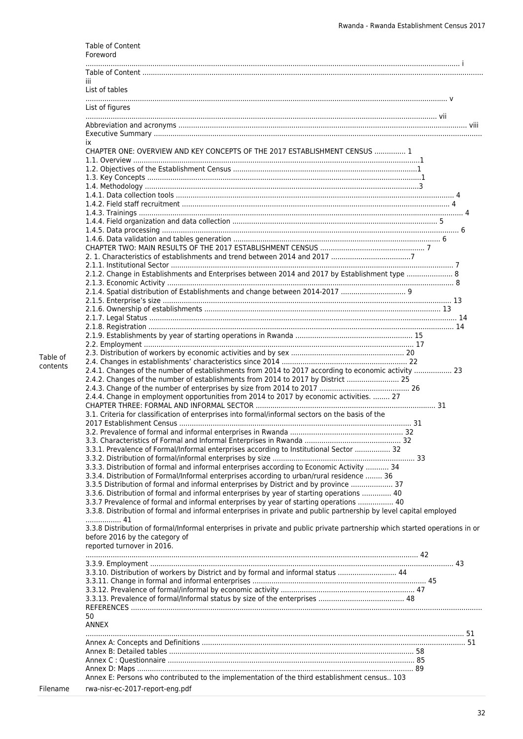|          | Table of Content<br>Foreword                                                                                                                                                            |
|----------|-----------------------------------------------------------------------------------------------------------------------------------------------------------------------------------------|
|          | Ш                                                                                                                                                                                       |
|          | List of tables                                                                                                                                                                          |
|          | List of figures                                                                                                                                                                         |
|          |                                                                                                                                                                                         |
|          | ÌХ.<br>CHAPTER ONE: OVERVIEW AND KEY CONCEPTS OF THE 2017 ESTABLISHMENT CENSUS  1                                                                                                       |
|          |                                                                                                                                                                                         |
|          |                                                                                                                                                                                         |
|          |                                                                                                                                                                                         |
|          |                                                                                                                                                                                         |
|          |                                                                                                                                                                                         |
|          |                                                                                                                                                                                         |
|          |                                                                                                                                                                                         |
|          |                                                                                                                                                                                         |
|          |                                                                                                                                                                                         |
|          | 2.1.2. Change in Establishments and Enterprises between 2014 and 2017 by Establishment type  8                                                                                          |
|          | 2.1.4. Spatial distribution of Establishments and change between 2014-2017                                                                                                              |
|          |                                                                                                                                                                                         |
|          |                                                                                                                                                                                         |
|          |                                                                                                                                                                                         |
|          |                                                                                                                                                                                         |
| Table of |                                                                                                                                                                                         |
| contents | 2.4.1. Changes of the number of establishments from 2014 to 2017 according to economic activity  23<br>2.4.2. Changes of the number of establishments from 2014 to 2017 by District  25 |
|          |                                                                                                                                                                                         |
|          | 2.4.4. Change in employment opportunities from 2014 to 2017 by economic activities.  27                                                                                                 |
|          | 3.1. Criteria for classification of enterprises into formal/informal sectors on the basis of the                                                                                        |
|          |                                                                                                                                                                                         |
|          |                                                                                                                                                                                         |
|          | 3.3.1. Prevalence of Formal/Informal enterprises according to Institutional Sector  32                                                                                                  |
|          | 3.3.3. Distribution of formal and informal enterprises according to Economic Activity  34                                                                                               |
|          | 3.3.4. Distribution of Formal/Informal enterprises according to urban/rural residence  36                                                                                               |
|          | 3.3.5 Distribution of formal and informal enterprises by District and by province  37<br>3.3.6. Distribution of formal and informal enterprises by year of starting operations  40      |
|          | 3.3.7 Prevalence of formal and informal enterprises by year of starting operations  40                                                                                                  |
|          | 3.3.8. Distribution of formal and informal enterprises in private and public partnership by level capital employed<br>41                                                                |
|          | 3.3.8 Distribution of formal/Informal enterprises in private and public private partnership which started operations in or                                                              |
|          | before 2016 by the category of<br>reported turnover in 2016.                                                                                                                            |
|          |                                                                                                                                                                                         |
|          | 3.3.10. Distribution of workers by District and by formal and informal status  44                                                                                                       |
|          |                                                                                                                                                                                         |
|          |                                                                                                                                                                                         |
|          |                                                                                                                                                                                         |
|          | 50<br><b>ANNEX</b>                                                                                                                                                                      |
|          |                                                                                                                                                                                         |
|          |                                                                                                                                                                                         |
|          |                                                                                                                                                                                         |
|          |                                                                                                                                                                                         |
| Filename | Annex E: Persons who contributed to the implementation of the third establishment census 103<br>rwa-nisr-ec-2017-report-eng.pdf                                                         |
|          |                                                                                                                                                                                         |